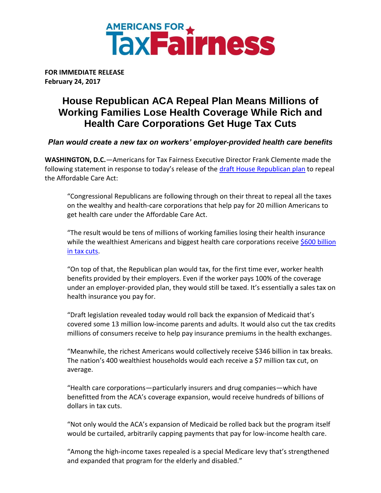

**FOR IMMEDIATE RELEASE February 24, 2017**

## **House Republican ACA Repeal Plan Means Millions of Working Families Lose Health Coverage While Rich and Health Care Corporations Get Huge Tax Cuts**

*Plan would create a new tax on workers' employer-provided health care benefits* 

**WASHINGTON, D.C.***—*Americans for Tax Fairness Executive Director Frank Clemente made the following statement in response to today's release of the [draft House Republican plan](http://www.politico.com/f/?id=0000015a-70de-d2c6-a7db-78ff707e0000) to repeal the Affordable Care Act:

"Congressional Republicans are following through on their threat to repeal all the taxes on the wealthy and health-care corporations that help pay for 20 million Americans to get health care under the Affordable Care Act.

"The result would be tens of millions of working families losing their health insurance while the wealthiest Americans and biggest health care corporations receive [\\$600 billion](http://americansfortaxfairness.org/wp-content/uploads/2017/02/atf-obamacare-rd2-v1-2-digital.pdf) [in tax cuts.](http://americansfortaxfairness.org/wp-content/uploads/2017/02/atf-obamacare-rd2-v1-2-digital.pdf)

"On top of that, the Republican plan would tax, for the first time ever, worker health benefits provided by their employers. Even if the worker pays 100% of the coverage under an employer-provided plan, they would still be taxed. It's essentially a sales tax on health insurance you pay for.

"Draft legislation revealed today would roll back the expansion of Medicaid that's covered some 13 million low-income parents and adults. It would also cut the tax credits millions of consumers receive to help pay insurance premiums in the health exchanges.

"Meanwhile, the richest Americans would collectively receive \$346 billion in tax breaks. The nation's 400 wealthiest households would each receive a \$7 million tax cut, on average.

"Health care corporations—particularly insurers and drug companies—which have benefitted from the ACA's coverage expansion, would receive hundreds of billions of dollars in tax cuts.

"Not only would the ACA's expansion of Medicaid be rolled back but the program itself would be curtailed, arbitrarily capping payments that pay for low-income health care.

"Among the high-income taxes repealed is a special Medicare levy that's strengthened and expanded that program for the elderly and disabled."